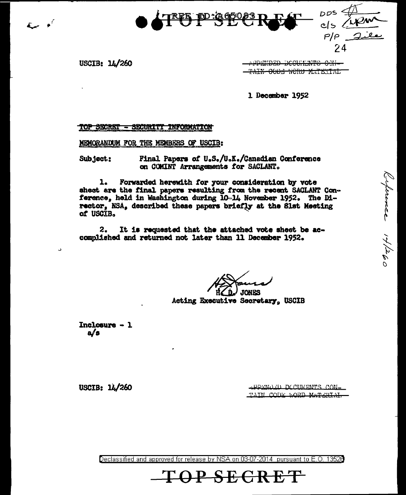

USCIB: 14/260

 $E = e^{i\theta}$ 

**APPENDED DECUHENTS CEN-**<del>TAIN CODE WORD MATERIAL</del>

 $\frac{2005}{100}$ <br> $\frac{400}{100}$ <br> $\frac{212}{100}$ 

Ceprence 14/260

1 December 1952

## TOP SECRET - SECURITY INFORMATION

MEMORANDUM FOR THE MEMBERS OF USCIB:

Final Papers of U.S./U.K./Canadian Conference Subject: on COMINT Arrangements for SACLANT.

 $1.$ Forwarded herewith for your consideration by vote sheet are the final papers resulting from the recent SACLANT Conference, held in Washington during 10-14 November 1952. The Director, NSA, described these papers briefly at the Slst Meeting of USCIB.

 $2.$ It is requested that the attached vote sheet be accomplished and returned not later than 11 December 1952.

**JONES** 

Acting Executive Secretary. USCIB

Inclosure  $-1$  $a/a$ 

د

APPENDED DOCUMENTS CON-TAIN CODE LOBD MATERIAL

USCIB: 14/260

Declassified and approved for release by NSA on 03-07-2014 pursuant to E.O. 13528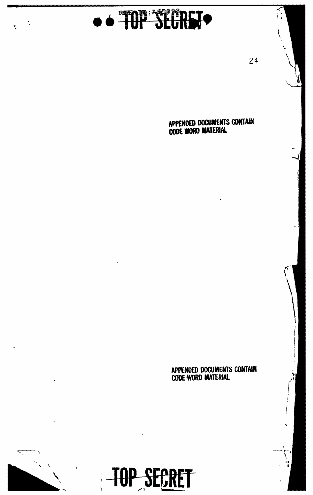

 $\ddot{\cdot}$ 

24

APPENDED DOCUMENTS CONTAIN CODE WORD MATERIAL

APPENDED DOCUMENTS CONTAIN<br>CODE WORD MATERIAL

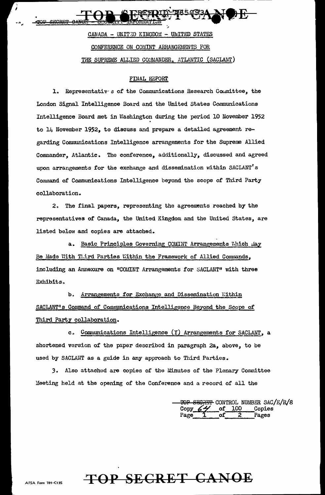CANADA - UNITED KINGDOM - UNITED STATES CONFERENCE ON COMINT ARRANGEMENTS FOR THE SUPREME ALLIED COMMANDER, ATLANTIC (SACLANT)

## FINAL REPORT

1. Representativ s of the Communications Research Committee, the London Signal Intelligence Board and the United States Communications Intelligence Board met in Washington during the period 10 November 1952 to 14 November 1952, to discuss and prepare a detailed agreement regarding Communications Intelligence arrangements for the Supreme Allied Commander, Atlantic. The conference, additionally, discussed and agreed upon arrangements for the exchange and dissemination within SACLANT's Command of Communications Intelligence beyond the scope of Third Party collaboration.

2. The final papers, representing the agreements reached by the representatives of Canada, the United Kingdom and the United States, are listed below and copies are attached.

Basic Principles Governing COMINT Arrangements Which May  $a_{-}$ Be Made With Third Parties Within the Framework of Allied Commands, including an Annexure on "COMINT Arrangements for SACLANT" with three Exhibits.

Arrangements for Exchange and Dissemination Within  $b<sub>z</sub>$ SACLANT's Command of Communications Intelligence Beyond the Scope of Third Party collaboration.

c. Communications Intelligence (Y) Arrangements for SACLANT, a shortened version of the paper described in paragraph 2a, above, to be used by SACLANT as a guide in any approach to Third Parties.

3. Also attached are copies of the Minutes of the Plenary Committee Meeting held at the opening of the Conference and a record of all the

SEGRET CONTROL NUMBER SAC/E/R/8 Copies Pages

## TOP SECRET CANOE